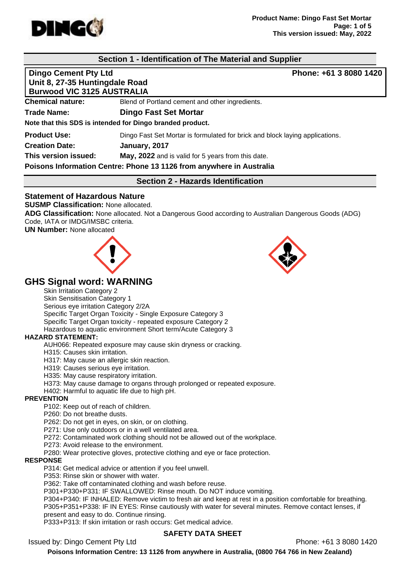

# **Section 1 - Identification of The Material and Supplier**

**Dingo Cement Pty Ltd Phone: +61 3 8080 1420 Unit 8, 27-35 Huntingdale Road**

| 9.111 0.121 00.11411111994410.11044 |                                                                              |
|-------------------------------------|------------------------------------------------------------------------------|
| <b>Burwood VIC 3125 AUSTRALIA</b>   |                                                                              |
| <b>Chemical nature:</b>             | Blend of Portland cement and other ingredients.                              |
| <b>Trade Name:</b>                  | <b>Dingo Fast Set Mortar</b>                                                 |
|                                     | Note that this SDS is intended for Dingo branded product.                    |
| <b>Product Use:</b>                 | Dingo Fast Set Mortar is formulated for brick and block laying applications. |
| <b>Creation Date:</b>               | January, 2017                                                                |
| This version issued:                | May, 2022 and is valid for 5 years from this date.                           |
|                                     | Poisons Information Centre: Phone 13 1126 from anywhere in Australia         |
|                                     | <b>Section 2 - Hazards Identification</b>                                    |

# **Statement of Hazardous Nature**

**SUSMP Classification:** None allocated.

**ADG Classification:** None allocated. Not a Dangerous Good according to Australian Dangerous Goods (ADG) Code, IATA or IMDG/IMSBC criteria.

**UN Number:** None allocated





# **GHS Signal word: WARNING**

Skin Irritation Category 2

Skin Sensitisation Category 1 Serious eye irritation Category 2/2A Specific Target Organ Toxicity - Single Exposure Category 3 Specific Target Organ toxicity - repeated exposure Category 2 Hazardous to aquatic environment Short term/Acute Category 3

#### **HAZARD STATEMENT:**

AUH066: Repeated exposure may cause skin dryness or cracking.

H315: Causes skin irritation.

H317: May cause an allergic skin reaction.

H319: Causes serious eye irritation.

H335: May cause respiratory irritation.

H373: May cause damage to organs through prolonged or repeated exposure.

H402: Harmful to aquatic life due to high pH.

#### **PREVENTION**

P102: Keep out of reach of children.

P260: Do not breathe dusts.

P262: Do not get in eyes, on skin, or on clothing.

P271: Use only outdoors or in a well ventilated area.

P272: Contaminated work clothing should not be allowed out of the workplace.

P273: Avoid release to the environment.

P280: Wear protective gloves, protective clothing and eye or face protection.

#### **RESPONSE**

P314: Get medical advice or attention if you feel unwell.

P353: Rinse skin or shower with water.

P362: Take off contaminated clothing and wash before reuse.

P301+P330+P331: IF SWALLOWED: Rinse mouth. Do NOT induce vomiting.

P304+P340: IF INHALED: Remove victim to fresh air and keep at rest in a position comfortable for breathing. P305+P351+P338: IF IN EYES: Rinse cautiously with water for several minutes. Remove contact lenses, if present and easy to do. Continue rinsing.

P333+P313: If skin irritation or rash occurs: Get medical advice.

## **SAFETY DATA SHEET**

Issued by: Dingo Cement Pty Ltd Phone: +61 3 8080 1420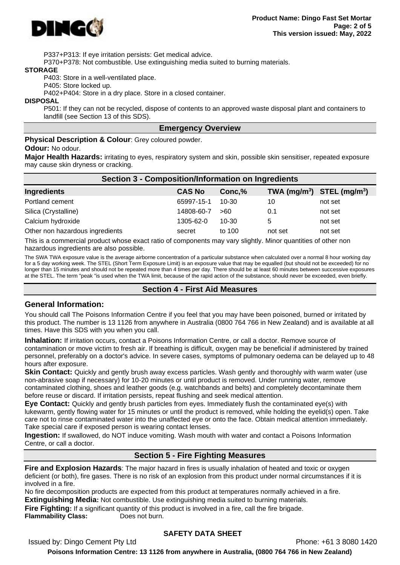

P337+P313: If eye irritation persists: Get medical advice.

P370+P378: Not combustible. Use extinguishing media suited to burning materials.

#### **STORAGE**

P403: Store in a well-ventilated place.

P405: Store locked up.

P402+P404: Store in a dry place. Store in a closed container.

#### **DISPOSAL**

P501: If they can not be recycled, dispose of contents to an approved waste disposal plant and containers to landfill (see Section 13 of this SDS).

#### **Emergency Overview**

**Physical Description & Colour**: Grey coloured powder.

#### **Odour:** No odour.

**Major Health Hazards:** irritating to eyes, respiratory system and skin, possible skin sensitiser, repeated exposure may cause skin dryness or cracking.

| <b>Section 3 - Composition/Information on Ingredients</b> |               |         |                                |         |  |  |
|-----------------------------------------------------------|---------------|---------|--------------------------------|---------|--|--|
| <b>Ingredients</b>                                        | <b>CAS No</b> | Conc, % | TWA $(mg/m^3)$ STEL $(mg/m^3)$ |         |  |  |
| Portland cement                                           | 65997-15-1    | 10-30   | 10                             | not set |  |  |
| Silica (Crystalline)                                      | 14808-60-7    | >60     | 0.1                            | not set |  |  |
| Calcium hydroxide                                         | 1305-62-0     | 10-30   | 5                              | not set |  |  |
| Other non hazardous ingredients                           | secret        | to 100  | not set                        | not set |  |  |

This is a commercial product whose exact ratio of components may vary slightly. Minor quantities of other non hazardous ingredients are also possible.

The SWA TWA exposure value is the average airborne concentration of a particular substance when calculated over a normal 8 hour working day for a 5 day working week. The STEL (Short Term Exposure Limit) is an exposure value that may be equalled (but should not be exceeded) for no longer than 15 minutes and should not be repeated more than 4 times per day. There should be at least 60 minutes between successive exposures at the STEL. The term "peak "is used when the TWA limit, because of the rapid action of the substance, should never be exceeded, even briefly.

#### **Section 4 - First Aid Measures**

#### **General Information:**

You should call The Poisons Information Centre if you feel that you may have been poisoned, burned or irritated by this product. The number is 13 1126 from anywhere in Australia (0800 764 766 in New Zealand) and is available at all times. Have this SDS with you when you call.

**Inhalation:** If irritation occurs, contact a Poisons Information Centre, or call a doctor. Remove source of contamination or move victim to fresh air. If breathing is difficult, oxygen may be beneficial if administered by trained personnel, preferably on a doctor's advice. In severe cases, symptoms of pulmonary oedema can be delayed up to 48 hours after exposure.

**Skin Contact:** Quickly and gently brush away excess particles. Wash gently and thoroughly with warm water (use non-abrasive soap if necessary) for 10-20 minutes or until product is removed. Under running water, remove contaminated clothing, shoes and leather goods (e.g. watchbands and belts) and completely decontaminate them before reuse or discard. If irritation persists, repeat flushing and seek medical attention.

**Eye Contact:** Quickly and gently brush particles from eyes. Immediately flush the contaminated eye(s) with lukewarm, gently flowing water for 15 minutes or until the product is removed, while holding the eyelid(s) open. Take care not to rinse contaminated water into the unaffected eye or onto the face. Obtain medical attention immediately. Take special care if exposed person is wearing contact lenses.

**Ingestion:** If swallowed, do NOT induce vomiting. Wash mouth with water and contact a Poisons Information Centre, or call a doctor.

#### **Section 5 - Fire Fighting Measures**

**Fire and Explosion Hazards**: The major hazard in fires is usually inhalation of heated and toxic or oxygen deficient (or both), fire gases. There is no risk of an explosion from this product under normal circumstances if it is involved in a fire.

No fire decomposition products are expected from this product at temperatures normally achieved in a fire. **Extinguishing Media:** Not combustible. Use extinguishing media suited to burning materials.

**Fire Fighting:** If a significant quantity of this product is involved in a fire, call the fire brigade. **Flammability Class:** Does not burn.

#### **SAFETY DATA SHEET**

Issued by: Dingo Cement Pty Ltd Phone: +61 3 8080 1420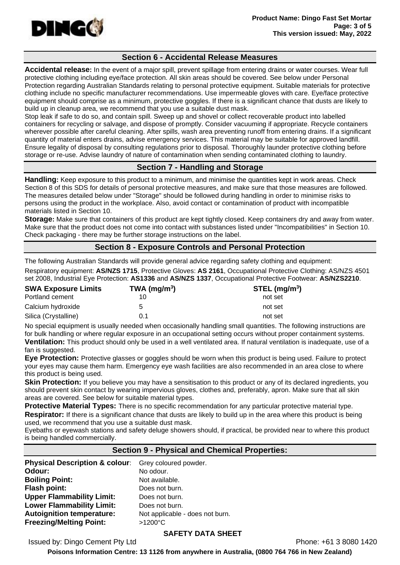

## **Section 6 - Accidental Release Measures**

**Accidental release:** In the event of a major spill, prevent spillage from entering drains or water courses. Wear full protective clothing including eye/face protection. All skin areas should be covered. See below under Personal Protection regarding Australian Standards relating to personal protective equipment. Suitable materials for protective clothing include no specific manufacturer recommendations. Use impermeable gloves with care. Eye/face protective equipment should comprise as a minimum, protective goggles. If there is a significant chance that dusts are likely to build up in cleanup area, we recommend that you use a suitable dust mask.

Stop leak if safe to do so, and contain spill. Sweep up and shovel or collect recoverable product into labelled containers for recycling or salvage, and dispose of promptly. Consider vacuuming if appropriate. Recycle containers wherever possible after careful cleaning. After spills, wash area preventing runoff from entering drains. If a significant quantity of material enters drains, advise emergency services. This material may be suitable for approved landfill. Ensure legality of disposal by consulting regulations prior to disposal. Thoroughly launder protective clothing before storage or re-use. Advise laundry of nature of contamination when sending contaminated clothing to laundry.

# **Section 7 - Handling and Storage**

**Handling:** Keep exposure to this product to a minimum, and minimise the quantities kept in work areas. Check Section 8 of this SDS for details of personal protective measures, and make sure that those measures are followed. The measures detailed below under "Storage" should be followed during handling in order to minimise risks to persons using the product in the workplace. Also, avoid contact or contamination of product with incompatible materials listed in Section 10.

**Storage:** Make sure that containers of this product are kept tightly closed. Keep containers dry and away from water. Make sure that the product does not come into contact with substances listed under "Incompatibilities" in Section 10. Check packaging - there may be further storage instructions on the label.

## **Section 8 - Exposure Controls and Personal Protection**

The following Australian Standards will provide general advice regarding safety clothing and equipment: Respiratory equipment: **AS/NZS 1715**, Protective Gloves: **AS 2161**, Occupational Protective Clothing: AS/NZS 4501 set 2008, Industrial Eye Protection: **AS1336** and **AS/NZS 1337**, Occupational Protective Footwear: **AS/NZS2210**.

| <b>SWA Exposure Limits</b> | TWA (mg/m <sup>3</sup> ) | $STEL$ (mg/m <sup>3</sup> ) |
|----------------------------|--------------------------|-----------------------------|
| Portland cement            |                          | not set                     |
| Calcium hydroxide          | 5                        | not set                     |
| Silica (Crystalline)       | 0.1                      | not set                     |

No special equipment is usually needed when occasionally handling small quantities. The following instructions are for bulk handling or where regular exposure in an occupational setting occurs without proper containment systems. **Ventilation:** This product should only be used in a well ventilated area. If natural ventilation is inadequate, use of a

#### fan is suggested.

**Eye Protection:** Protective glasses or goggles should be worn when this product is being used. Failure to protect your eyes may cause them harm. Emergency eye wash facilities are also recommended in an area close to where this product is being used.

**Skin Protection:** If you believe you may have a sensitisation to this product or any of its declared ingredients, you should prevent skin contact by wearing impervious gloves, clothes and, preferably, apron. Make sure that all skin areas are covered. See below for suitable material types.

**Protective Material Types:** There is no specific recommendation for any particular protective material type.

**Respirator:** If there is a significant chance that dusts are likely to build up in the area where this product is being used, we recommend that you use a suitable dust mask.

Eyebaths or eyewash stations and safety deluge showers should, if practical, be provided near to where this product is being handled commercially.

## **Section 9 - Physical and Chemical Properties:**

| Physical Description & colour: Grey coloured powder. |                                 |
|------------------------------------------------------|---------------------------------|
| Odour:                                               | No odour.                       |
| <b>Boiling Point:</b>                                | Not available.                  |
| Flash point:                                         | Does not burn.                  |
| <b>Upper Flammability Limit:</b>                     | Does not burn.                  |
| <b>Lower Flammability Limit:</b>                     | Does not burn.                  |
| <b>Autoignition temperature:</b>                     | Not applicable - does not burn. |
| <b>Freezing/Melting Point:</b>                       | >1200°C                         |

## **SAFETY DATA SHEET**

Issued by: Dingo Cement Pty Ltd Phone: +61 3 8080 1420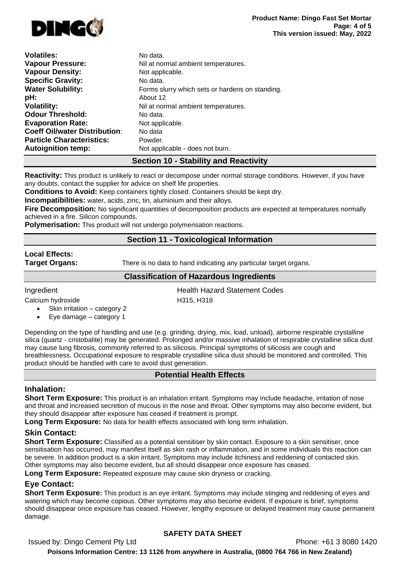

| <b>Volatiles:</b>                    | No data.                                        |
|--------------------------------------|-------------------------------------------------|
| <b>Vapour Pressure:</b>              | Nil at normal ambient temperatures.             |
| <b>Vapour Density:</b>               | Not applicable.                                 |
| <b>Specific Gravity:</b>             | No data.                                        |
| <b>Water Solubility:</b>             | Forms slurry which sets or hardens on standing. |
| pH:                                  | About 12                                        |
| <b>Volatility:</b>                   | Nil at normal ambient temperatures.             |
| <b>Odour Threshold:</b>              | No data.                                        |
| <b>Evaporation Rate:</b>             | Not applicable.                                 |
| <b>Coeff Oil/water Distribution:</b> | No data                                         |
| <b>Particle Characteristics:</b>     | Powder.                                         |
| <b>Autoignition temp:</b>            | Not applicable - does not burn.                 |

# **Section 10 - Stability and Reactivity**

**Reactivity:** This product is unlikely to react or decompose under normal storage conditions. However, if you have any doubts, contact the supplier for advice on shelf life properties.

**Conditions to Avoid:** Keep containers tightly closed. Containers should be kept dry.

**Incompatibilities:** water, acids, zinc, tin, aluminium and their alloys.

**Fire Decomposition:** No significant quantities of decomposition products are expected at temperatures normally achieved in a fire. Silicon compounds.

**Polymerisation:** This product will not undergo polymerisation reactions.

# **Section 11 - Toxicological Information**

#### **Local Effects:**

**Target Organs:** There is no data to hand indicating any particular target organs.

## **Classification of Hazardous Ingredients**

**Ingredient Health Hazard Statement Codes** 

Calcium hydroxide H315, H318

- Skin irritation category 2
- Eye damage category 1

Depending on the type of handling and use (e.g. grinding, drying, mix, load, unload), airborne respirable crystalline silica (quartz - cristobalite) may be generated. Prolonged and/or massive inhalation of respirable crystalline silica dust may cause lung fibrosis, commonly referred to as silicosis. Principal symptoms of silicosis are cough and breathlessness. Occupational exposure to respirable crystalline silica dust should be monitored and controlled. This product should be handled with care to avoid dust generation.

## **Potential Health Effects**

# **Inhalation:**

**Short Term Exposure:** This product is an inhalation irritant. Symptoms may include headache, irritation of nose and throat and increased secretion of mucous in the nose and throat. Other symptoms may also become evident, but they should disappear after exposure has ceased if treatment is prompt.

**Long Term Exposure:** No data for health effects associated with long term inhalation.

## **Skin Contact:**

**Short Term Exposure:** Classified as a potential sensitiser by skin contact. Exposure to a skin sensitiser, once sensitisation has occurred, may manifest itself as skin rash or inflammation, and in some individuals this reaction can be severe. In addition product is a skin irritant. Symptoms may include itchiness and reddening of contacted skin. Other symptoms may also become evident, but all should disappear once exposure has ceased.

**Long Term Exposure:** Repeated exposure may cause skin dryness or cracking.

# **Eye Contact:**

**Short Term Exposure:** This product is an eye irritant. Symptoms may include stinging and reddening of eyes and watering which may become copious. Other symptoms may also become evident. If exposure is brief, symptoms should disappear once exposure has ceased. However, lengthy exposure or delayed treatment may cause permanent damage.

# **SAFETY DATA SHEET**

Issued by: Dingo Cement Pty Ltd Phone: +61 3 8080 1420